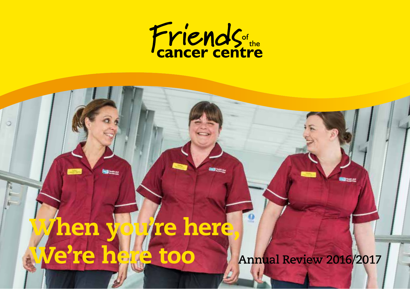

## Annual Review 2016/2017 12:00:00 PM 2017 12:00:00 PM 2017 12:00:00 PM 2017 12:00:00 PM 2017 12:00:00 PM 2017 1 **Annual Review 2016/2017** hen you're here, *Je're here too*

land.

 $\circ$ 

F H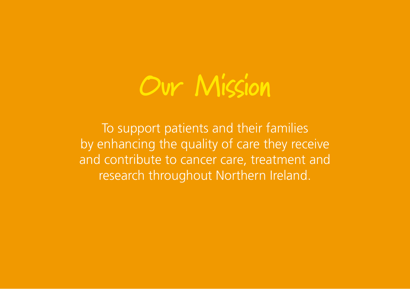

To support patients and their families by enhancing the quality of care they receive and contribute to cancer care, treatment and research throughout Northern Ireland.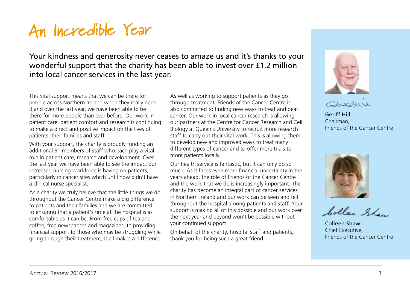# **An Incredible Year**

Your kindness and generosity never ceases to amaze us and it's thanks to your wonderful support that the charity has been able to invest over £1.2 million into local cancer services in the last year.

This vital support means that we can be there for people across Northern Ireland when they really need it and over the last year, we have been able to be there for more people than ever before. Our work in patient care, patient comfort and research is continuing to make a direct and positive impact on the lives of patients, their families and staff.

With your support, the charity is proudly funding an additional 31 members of staff who each play a vital role in patient care, research and development. Over the last year we have been able to see the impact our increased nursing workforce is having on patients, particularly in cancer sites which until now didn't have a clinical nurse specialist.

As a charity we truly believe that the little things we do throughout the Cancer Centre make a big difference to patients and their families and we are committed to ensuring that a patient's time at the hospital is as comfortable as it can be. From free cups of tea and coffee, free newspapers and magazines, to providing financial support to those who may be struggling while going through their treatment, it all makes a difference. As well as working to support patients as they go through treatment, Friends of the Cancer Centre is also committed to finding new ways to treat and beat cancer. Our work in local cancer research is allowing our partners at the Centre for Cancer Research and Cell Biology at Queen's University to recruit more research staff to carry out their vital work. This is allowing them to develop new and improved ways to treat many different types of cancer and to offer more trials to more patients locally.

Our health service is fantastic, but it can only do so much. As it faces even more financial uncertainty in the years ahead, the role of Friends of the Cancer Centre and the work that we do is increasingly important. The charity has become an integral part of cancer services in Northern Ireland and our work can be seen and felt throughout the hospital among patients and staff. Your support is making all of this possible and our work over the next year and beyond won't be possible without your continued support.

On behalf of the charity, hospital staff and patients, thank you for being such a great friend.





Geoff Hill Chairman, Friends of the Cancer Centre



Colleen Show

Colleen Shaw Chief Executive, Friends of the Cancer Centre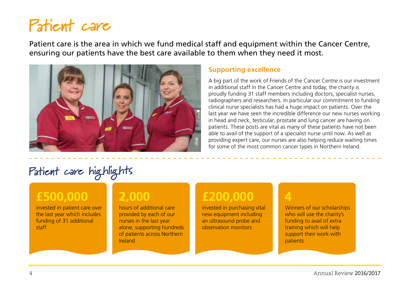# **Patient care**

Patient care is the area in which we fund medical staff and equipment within the Cancer Centre, ensuring our patients have the best care available to them when they need it most.



#### **Supporting excellence**

A big part of the work of Friends of the Cancer Centre is our investment in additional staff in the Cancer Centre and today, the charity is proudly funding 31 staff members including doctors, specialist nurses, radiographers and researchers. In particular our commitment to funding clinical nurse specialists has had a huge impact on patients. Over the last year we have seen the incredible difference our new nurses working in head and neck, testicular, prostate and lung cancer are having on patients. These posts are vital as many of these patients have not been able to avail of the support of a specialist nurse until now. As well as providing expert care, our nurses are also helping reduce waiting times for some of the most common cancer types in Northern Ireland.

## **Patient care highlights**

### **£500,000**

invested in patient care over the last year which includes funding of 31 additional staff

### **2,000**

hours of additional care provided by each of our nurses in the last year alone, supporting hundreds of patients across Northern Ireland

### **£200,000**

invested in purchasing vital new equipment including an ultrasound probe and observation monitors

#### **4**

Winners of our scholarships who will use the charity's funding to avail of extra training which will help support their work with patients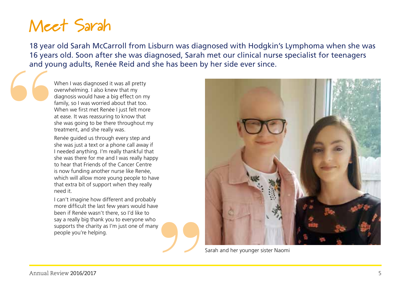# **Meet Sarah**

18 year old Sarah McCarroll from Lisburn was diagnosed with Hodgkin's Lymphoma when she was 16 years old. Soon after she was diagnosed, Sarah met our clinical nurse specialist for teenagers and young adults, Renée Reid and she has been by her side ever since. **"**

When I was diagnosed it was all pretty overwhelming. I also knew that my diagnosis would have a big effect on my family, so I was worried about that too. When we first met Renée I just felt more at ease. It was reassuring to know that she was going to be there throughout my treatment, and she really was.

Renée guided us through every step and she was just a text or a phone call away if I needed anything. I'm really thankful that she was there for me and I was really happy to hear that Friends of the Cancer Centre is now funding another nurse like Renée, which will allow more young people to have that extra bit of support when they really need it.

I can't imagine how different and probably more difficult the last few years would have been if Renée wasn't there, so I'd like to say a really big thank you to everyone who supports the charity as I'm just one of many people you're helping.



Sarah and her younger sister Naomi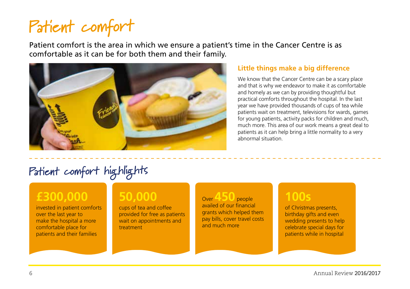# **Patient comfort**

Patient comfort is the area in which we ensure a patient's time in the Cancer Centre is as comfortable as it can be for both them and their family.



#### **Little things make a big difference**

We know that the Cancer Centre can be a scary place and that is why we endeavor to make it as comfortable and homely as we can by providing thoughtful but practical comforts throughout the hospital. In the last year we have provided thousands of cups of tea while patients wait on treatment, televisions for wards, games for young patients, activity packs for children and much, much more. This area of our work means a great deal to patients as it can help bring a little normality to a very abnormal situation.

## **Patient comfort highlights**

### **£300,000**

invested in patient comforts over the last year to make the hospital a more comfortable place for patients and their families

### **50,000**

cups of tea and coffee provided for free as patients wait on appointments and treatment

Over **450** people availed of our financial grants which helped them pay bills, cover travel costs and much more

#### **100s**

of Christmas presents, birthday gifts and even wedding presents to help celebrate special days for patients while in hospital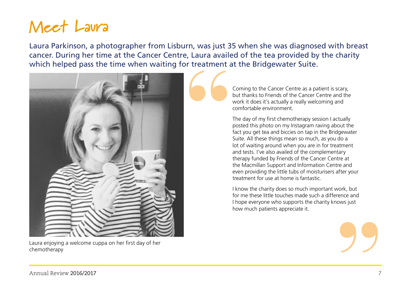# **Meet Laura**

Laura Parkinson, a photographer from Lisburn, was just 35 when she was diagnosed with breast cancer. During her time at the Cancer Centre, Laura availed of the tea provided by the charity which helped pass the time when waiting for treatment at the Bridgewater Suite.



Laura enjoying a welcome cuppa on her first day of her chemotherapy

Coming to the Cancer Centre as a patient is scary, but thanks to Friends of the Cancer Centre and the work it does it's actually a really welcoming and comfortable environment.

The day of my first chemotherapy session I actually posted this photo on my Instagram raving about the fact you get tea and biccies on tap in the Bridgewater Suite. All these things mean so much, as you do a lot of waiting around when you are in for treatment and tests. I've also availed of the complementary therapy funded by Friends of the Cancer Centre at the Macmillan Support and Information Centre and even providing the little tubs of moisturisers after your treatment for use at home is fantastic.

I know the charity does so much important work, but for me these little touches made such a difference and I hope everyone who supports the charity knows just how much patients appreciate it. brk, but<br>ence and<br>ws just<br> $\bullet$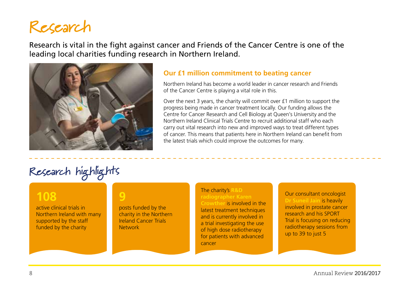## **Research**

Research is vital in the fight against cancer and Friends of the Cancer Centre is one of the leading local charities funding research in Northern Ireland.



#### **Our £1 million commitment to beating cancer**

Northern Ireland has become a world leader in cancer research and Friends of the Cancer Centre is playing a vital role in this.

Over the next 3 years, the charity will commit over £1 million to support the progress being made in cancer treatment locally. Our funding allows the Centre for Cancer Research and Cell Biology at Queen's University and the Northern Ireland Clinical Trials Centre to recruit additional staff who each carry out vital research into new and improved ways to treat different types of cancer. This means that patients here in Northern Ireland can benefit from the latest trials which could improve the outcomes for many.

## **Research highlights**

#### **108**

active clinical trials in Northern Ireland with many supported by the staff funded by the charity

**9** posts funded by the charity in the Northern Ireland Cancer Trials **Network** 

#### The charity's **R&D radiographer Karen**

**Crowther** is involved in the latest treatment techniques and is currently involved in a trial investigating the use of high dose radiotherapy for patients with advanced cancer

Our consultant oncologist **Dr Suneil Jain** is heavily involved in prostate cancer research and his SPORT Trial is focusing on reducing radiotherapy sessions from up to 39 to just 5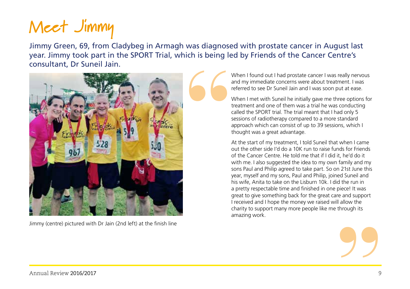# **Meet Jimmy**

Jimmy Green, 69, from Cladybeg in Armagh was diagnosed with prostate cancer in August last year. Jimmy took part in the SPORT Trial, which is being led by Friends of the Cancer Centre's consultant, Dr Suneil Jain.



Jimmy (centre) pictured with Dr Jain (2nd left) at the finish line

When I found out I had prostate cancer I was really nervous and my immediate concerns were about treatment. I was referred to see Dr Suneil Jain and I was soon put at ease.

When I met with Suneil he initially gave me three options for treatment and one of them was a trial he was conducting called the SPORT trial. The trial meant that I had only 5 sessions of radiotherapy compared to a more standard approach which can consist of up to 39 sessions, which I thought was a great advantage.

ece! It was<br>e and support<br>allow the<br>hrough its At the start of my treatment, I told Suneil that when I came out the other side I'd do a 10K run to raise funds for Friends of the Cancer Centre. He told me that if I did it, he'd do it with me. I also suggested the idea to my own family and my sons Paul and Philip agreed to take part. So on 21st June this year, myself and my sons, Paul and Philip, joined Suneil and his wife, Anita to take on the Lisburn 10k. I did the run in a pretty respectable time and finished in one piece! It was great to give something back for the great care and support I received and I hope the money we raised will allow the charity to support many more people like me through its amazing work.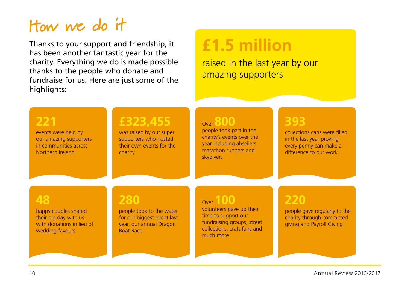# **How we do it**

Thanks to your support and friendship, it has been another fantastic year for the charity. Everything we do is made possible thanks to the people who donate and fundraise for us. Here are just some of the highlights:

# **£1.5 million**

raised in the last year by our amazing supporters

### **221**

events were held by our amazing supporters in communities across Northern Ireland

### **£323,455**

was raised by our super supporters who hosted their own events for the charity

#### Over **800**

people took part in the charity's events over the year including abseilers, marathon runners and skydivers

### **393**

collections cans were filled in the last year proving every penny can make a difference to our work

#### **48**

happy couples shared their big day with us with donations in lieu of wedding favours

### **280**

people took to the water for our biggest event last year, our annual Dragon Boat Race

### Over **100**

volunteers gave up their time to support our fundraising groups, street collections, craft fairs and much more

### **220**

people gave regularly to the charity through committed giving and Payroll Giving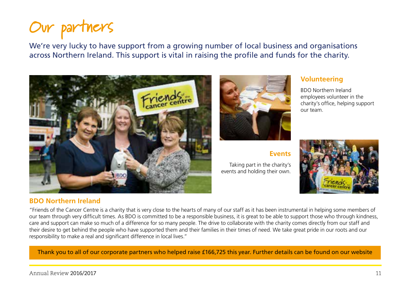# **Our partners**

We're very lucky to have support from a growing number of local business and organisations across Northern Ireland. This support is vital in raising the profile and funds for the charity.



#### **BDO Northern Ireland**



#### **Events**

Taking part in the charity's events and holding their own.



BDO Northern Ireland employees volunteer in the charity's office, helping support our team.



"Friends of the Cancer Centre is a charity that is very close to the hearts of many of our staff as it has been instrumental in helping some members of our team through very difficult times. As BDO is committed to be a responsible business, it is great to be able to support those who through kindness, care and support can make so much of a difference for so many people. The drive to collaborate with the charity comes directly from our staff and their desire to get behind the people who have supported them and their families in their times of need. We take great pride in our roots and our responsibility to make a real and significant difference in local lives."

Thank you to all of our corporate partners who helped raise £166,725 this year. Further details can be found on our website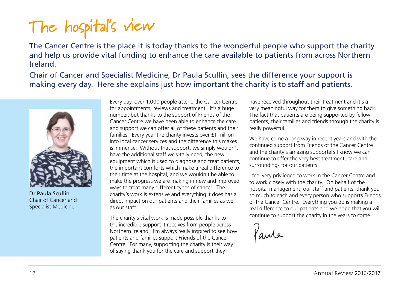# **The hospital's view**

The Cancer Centre is the place it is today thanks to the wonderful people who support the charity and help us provide vital funding to enhance the care available to patients from across Northern Ireland.

Chair of Cancer and Specialist Medicine, Dr Paula Scullin, sees the difference your support is making every day. Here she explains just how important the charity is to staff and patients.



Dr Paula Scullin Chair of Cancer and Specialist Medicine

Every day, over 1,000 people attend the Cancer Centre for appointments, reviews and treatment. It's a huge number, but thanks to the support of Friends of the Cancer Centre we have been able to enhance the care and support we can offer all of these patients and their families. Every year the charity invests over £1 million into local cancer services and the difference this makes is immense. Without that support, we simply wouldn't have the additional staff we vitally need, the new equipment which is used to diagnose and treat patients, the important comforts which make a real difference to their time at the hospital, and we wouldn't be able to make the progress we are making in new and improved ways to treat many different types of cancer. The charity's work is extensive and everything it does has a direct impact on our patients and their families as well as our staff.

The charity's vital work is made possible thanks to the incredible support it receives from people across Northern Ireland. I'm always really inspired to see how patients and families support Friends of the Cancer Centre. For many, supporting the charity is their way of saying thank you for the care and support they

have received throughout their treatment and it's a very meaningful way for them to give something back. The fact that patients are being supported by fellow patients, their families and friends through the charity is really powerful.

We have come a long way in recent years and with the continued support from Friends of the Cancer Centre and the charity's amazing supporters I know we can continue to offer the very best treatment, care and surroundings for our patients.

I feel very privileged to work in the Cancer Centre and to work closely with the charity. On behalf of the hospital management, our staff and patients, thank you so much to each and every person who supports Friends of the Cancer Centre. Everything you do is making a real difference to our patients and we hope that you will continue to support the charity in the years to come.

fante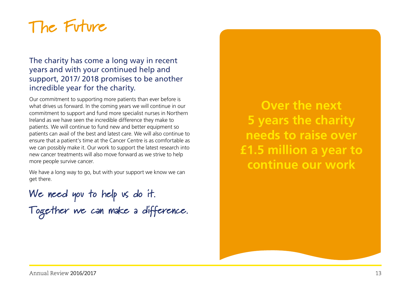# **The Future**

#### The charity has come a long way in recent years and with your continued help and support, 2017/ 2018 promises to be another incredible year for the charity.

Our commitment to supporting more patients than ever before is what drives us forward. In the coming years we will continue in our commitment to support and fund more specialist nurses in Northern Ireland as we have seen the incredible difference they make to patients. We will continue to fund new and better equipment so patients can avail of the best and latest care. We will also continue to ensure that a patient's time at the Cancer Centre is as comfortable as we can possibly make it. Our work to support the latest research into new cancer treatments will also move forward as we strive to help more people survive cancer.

We have a long way to go, but with your support we know we can get there.

**We need you to help us do it. Together we can make a difference.**

**Over the next 5 years the charity needs to raise over £1.5 million a year to continue our work**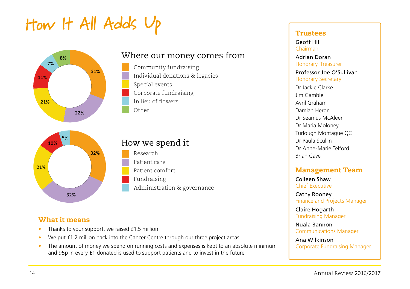# **How It All Adds Up**



### **32% 32% 21% 10% 5%**

#### Where our money comes from

Community fundraising Individual donations & legacies Special events Corporate fundraising In lieu of flowers Other

## How we spend it

Research Patient care Patient comfort Fundraising Administration & governance

#### What it means

- Thanks to your support, we raised £1.5 million
- We put £1.2 million back into the Cancer Centre through our three project areas
- The amount of money we spend on running costs and expenses is kept to an absolute minimum and 95p in every £1 donated is used to support patients and to invest in the future

#### Trustees

Geoff Hill Chairman

Adrian Doran Honorary Treasurer Professor Joe O'Sullivan Honorary Secretary

Dr Jackie Clarke Jim Gamble Avril Graham Damian Heron Dr Seamus McAleer Dr Maria Moloney Turlough Montague QC Dr Paula Scullin Dr Anne-Marie Telford Brian Cave

#### Management Team

Colleen Shaw Chief Executive

Cathy Rooney Finance and Projects Manager

Claire Hogarth Fundraising Manager

Nuala Bannon Communications Manager

Ana Wilkinson Corporate Fundraising Manager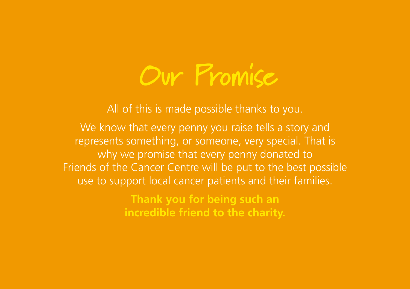

All of this is made possible thanks to you.

We know that every penny you raise tells a story and represents something, or someone, very special. That is why we promise that every penny donated to Friends of the Cancer Centre will be put to the best possible use to support local cancer patients and their families.

> **Thank you for being such an incredible friend to the charity.**